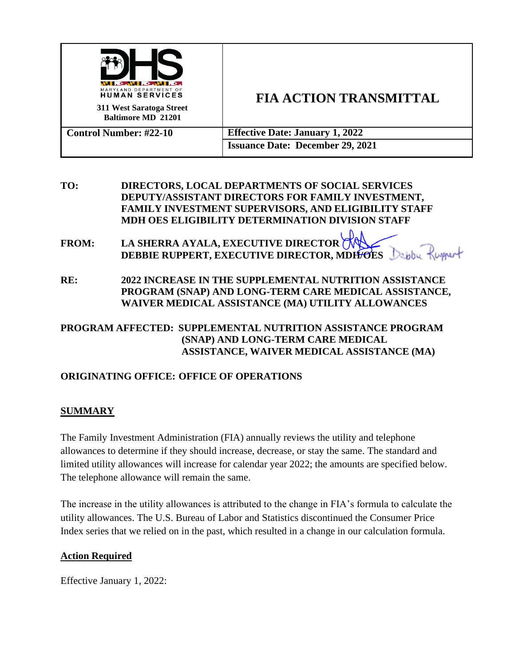

# **FIA ACTION TRANSMITTAL**

| <b>Control Number: #22-10</b> | <b>Effective Date: January 1, 2022</b>  |
|-------------------------------|-----------------------------------------|
|                               | <b>Issuance Date: December 29, 2021</b> |

## **TO: DIRECTORS, LOCAL DEPARTMENTS OF SOCIAL SERVICES DEPUTY/ASSISTANT DIRECTORS FOR FAMILY INVESTMENT, FAMILY INVESTMENT SUPERVISORS, AND ELIGIBILITY STAFF MDH OES ELIGIBILITY DETERMINATION DIVISION STAFF**

**FROM: LA SHERRA AYALA, EXECUTIVE DIRECTOR DEBBIE RUPPERT, EXECUTIVE DIRECTOR, MDH/OES**

**RE: 2022 INCREASE IN THE SUPPLEMENTAL NUTRITION ASSISTANCE PROGRAM (SNAP) AND LONG-TERM CARE MEDICAL ASSISTANCE, WAIVER MEDICAL ASSISTANCE (MA) UTILITY ALLOWANCES**

## **PROGRAM AFFECTED: SUPPLEMENTAL NUTRITION ASSISTANCE PROGRAM (SNAP) AND LONG-TERM CARE MEDICAL ASSISTANCE, WAIVER MEDICAL ASSISTANCE (MA)**

## **ORIGINATING OFFICE: OFFICE OF OPERATIONS**

## **SUMMARY**

The Family Investment Administration (FIA) annually reviews the utility and telephone allowances to determine if they should increase, decrease, or stay the same. The standard and limited utility allowances will increase for calendar year 2022; the amounts are specified below. The telephone allowance will remain the same.

The increase in the utility allowances is attributed to the change in FIA's formula to calculate the utility allowances. The U.S. Bureau of Labor and Statistics discontinued the Consumer Price Index series that we relied on in the past, which resulted in a change in our calculation formula.

#### **Action Required**

Effective January 1, 2022: